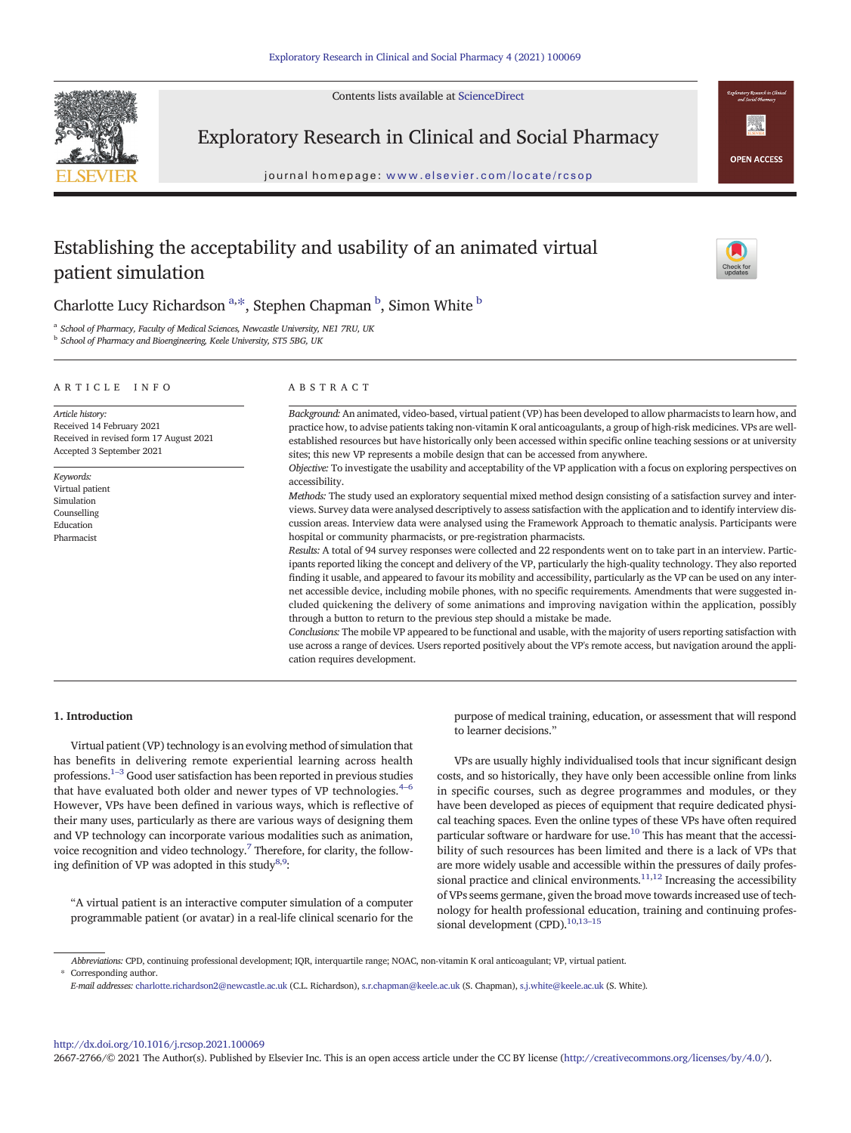Contents lists available at [ScienceDirect](http://www.sciencedirect.com/science/journal/)



Exploratory Research in Clinical and Social Pharmacy

journal homepage: <www.elsevier.com/locate/rcsop>

# **OPEN ACCESS**

## Establishing the acceptability and usability of an animated virtual patient simulation



Charlotte Lucy Richardson<sup>a,\*</sup>, Stephen Chapman <sup>b</sup>, Simon White <sup>b</sup>

<sup>a</sup> School of Pharmacy, Faculty of Medical Sciences, Newcastle University, NE1 7RU, UK

<sup>b</sup> School of Pharmacy and Bioengineering, Keele University, ST5 5BG, UK

#### ARTICLE INFO ABSTRACT

Article history: Received 14 February 2021 Received in revised form 17 August 2021 Accepted 3 September 2021

Keywords: Virtual patient Simulation Counselling Education Pharmacist

Background: An animated, video-based, virtual patient (VP) has been developed to allow pharmacists to learn how, and practice how, to advise patients taking non-vitamin K oral anticoagulants, a group of high-risk medicines. VPs are wellestablished resources but have historically only been accessed within specific online teaching sessions or at university sites; this new VP represents a mobile design that can be accessed from anywhere.

Objective: To investigate the usability and acceptability of the VP application with a focus on exploring perspectives on accessibility.

Methods: The study used an exploratory sequential mixed method design consisting of a satisfaction survey and interviews. Survey data were analysed descriptively to assess satisfaction with the application and to identify interview discussion areas. Interview data were analysed using the Framework Approach to thematic analysis. Participants were hospital or community pharmacists, or pre-registration pharmacists.

Results: A total of 94 survey responses were collected and 22 respondents went on to take part in an interview. Participants reported liking the concept and delivery of the VP, particularly the high-quality technology. They also reported finding it usable, and appeared to favour its mobility and accessibility, particularly as the VP can be used on any internet accessible device, including mobile phones, with no specific requirements. Amendments that were suggested included quickening the delivery of some animations and improving navigation within the application, possibly through a button to return to the previous step should a mistake be made.

Conclusions: The mobile VP appeared to be functional and usable, with the majority of users reporting satisfaction with use across a range of devices. Users reported positively about the VP's remote access, but navigation around the application requires development.

#### 1. Introduction

Virtual patient (VP) technology is an evolving method of simulation that has benefits in delivering remote experiential learning across health professions. $^{1-3}$  Good user satisfaction has been reported in previous studies that have evaluated both older and newer types of VP technologies.<sup>[4](#page-5-0)-6</sup> However, VPs have been defined in various ways, which is reflective of their many uses, particularly as there are various ways of designing them and VP technology can incorporate various modalities such as animation, voice recognition and video technology.<sup>7</sup> Therefore, for clarity, the following definition of VP was adopted in this study $^{8,9}$  $^{8,9}$  $^{8,9}$  $^{8,9}$  $^{8,9}$ :

"A virtual patient is an interactive computer simulation of a computer programmable patient (or avatar) in a real-life clinical scenario for the purpose of medical training, education, or assessment that will respond to learner decisions."

VPs are usually highly individualised tools that incur significant design costs, and so historically, they have only been accessible online from links in specific courses, such as degree programmes and modules, or they have been developed as pieces of equipment that require dedicated physical teaching spaces. Even the online types of these VPs have often required particular software or hardware for use.<sup>10</sup> This has meant that the accessibility of such resources has been limited and there is a lack of VPs that are more widely usable and accessible within the pressures of daily professional practice and clinical environments. $11,12$  Increasing the accessibility of VPs seems germane, given the broad move towards increased use of technology for health professional education, training and continuing professional development (CPD).<sup>10,13-15</sup>

<http://dx.doi.org/10.1016/j.rcsop.2021.100069>

2667-2766/© 2021 The Author(s). Published by Elsevier Inc. This is an open access article under the CC BY license [\(http://creativecommons.org/licenses/by/4.0/\)](http://creativecommons.org/licenses/by/4.0/).

Abbreviations: CPD, continuing professional development; IQR, interquartile range; NOAC, non-vitamin K oral anticoagulant; VP, virtual patient. Corresponding author.

E-mail addresses: charlotte.richardson2@newcastle.ac.uk (C.L. Richardson), s.r.chapman@keele.ac.uk (S. Chapman), <s.j.white@keele.ac.uk> (S. White).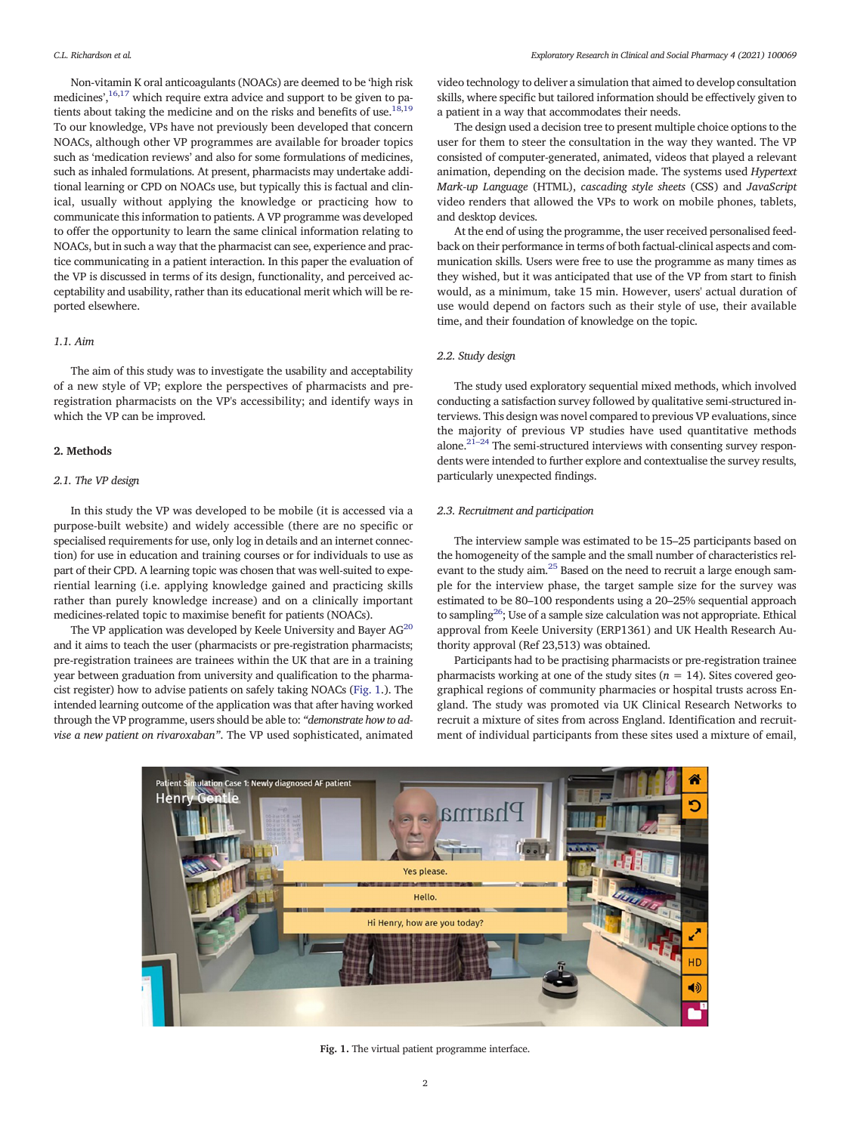Non-vitamin K oral anticoagulants (NOACs) are deemed to be 'high risk medicines',<sup>[16,17](#page-5-0)</sup> which require extra advice and support to be given to patients about taking the medicine and on the risks and benefits of use.<sup>18,19</sup> To our knowledge, VPs have not previously been developed that concern NOACs, although other VP programmes are available for broader topics such as 'medication reviews' and also for some formulations of medicines, such as inhaled formulations. At present, pharmacists may undertake additional learning or CPD on NOACs use, but typically this is factual and clinical, usually without applying the knowledge or practicing how to communicate this information to patients. A VP programme was developed to offer the opportunity to learn the same clinical information relating to NOACs, but in such a way that the pharmacist can see, experience and practice communicating in a patient interaction. In this paper the evaluation of the VP is discussed in terms of its design, functionality, and perceived acceptability and usability, rather than its educational merit which will be reported elsewhere.

#### 1.1. Aim

The aim of this study was to investigate the usability and acceptability of a new style of VP; explore the perspectives of pharmacists and preregistration pharmacists on the VP's accessibility; and identify ways in which the VP can be improved.

#### 2. Methods

### 2.1. The VP design

In this study the VP was developed to be mobile (it is accessed via a purpose-built website) and widely accessible (there are no specific or specialised requirements for use, only log in details and an internet connection) for use in education and training courses or for individuals to use as part of their CPD. A learning topic was chosen that was well-suited to experiential learning (i.e. applying knowledge gained and practicing skills rather than purely knowledge increase) and on a clinically important medicines-related topic to maximise benefit for patients (NOACs).

The VP application was developed by Keele University and Bayer  $AG^{20}$  $AG^{20}$  $AG^{20}$ and it aims to teach the user (pharmacists or pre-registration pharmacists; pre-registration trainees are trainees within the UK that are in a training year between graduation from university and qualification to the pharmacist register) how to advise patients on safely taking NOACs (Fig. 1.). The intended learning outcome of the application was that after having worked through the VP programme, users should be able to: "demonstrate how to advise a new patient on rivaroxaban". The VP used sophisticated, animated video technology to deliver a simulation that aimed to develop consultation skills, where specific but tailored information should be effectively given to a patient in a way that accommodates their needs.

The design used a decision tree to present multiple choice options to the user for them to steer the consultation in the way they wanted. The VP consisted of computer-generated, animated, videos that played a relevant animation, depending on the decision made. The systems used Hypertext Mark-up Language (HTML), cascading style sheets (CSS) and JavaScript video renders that allowed the VPs to work on mobile phones, tablets, and desktop devices.

At the end of using the programme, the user received personalised feedback on their performance in terms of both factual-clinical aspects and communication skills. Users were free to use the programme as many times as they wished, but it was anticipated that use of the VP from start to finish would, as a minimum, take 15 min. However, users' actual duration of use would depend on factors such as their style of use, their available time, and their foundation of knowledge on the topic.

#### 2.2. Study design

The study used exploratory sequential mixed methods, which involved conducting a satisfaction survey followed by qualitative semi-structured interviews. This design was novel compared to previous VP evaluations, since the majority of previous VP studies have used quantitative methods alone.<sup>[21](#page-5-0)–24</sup> The semi-structured interviews with consenting survey respondents were intended to further explore and contextualise the survey results, particularly unexpected findings.

#### 2.3. Recruitment and participation

The interview sample was estimated to be 15–25 participants based on the homogeneity of the sample and the small number of characteristics relevant to the study aim.[25](#page-5-0) Based on the need to recruit a large enough sample for the interview phase, the target sample size for the survey was estimated to be 80–100 respondents using a 20–25% sequential approach to samplin[g26;](#page-5-0) Use of a sample size calculation was not appropriate. Ethical approval from Keele University (ERP1361) and UK Health Research Authority approval (Ref 23,513) was obtained.

Participants had to be practising pharmacists or pre-registration trainee pharmacists working at one of the study sites ( $n = 14$ ). Sites covered geographical regions of community pharmacies or hospital trusts across England. The study was promoted via UK Clinical Research Networks to recruit a mixture of sites from across England. Identification and recruitment of individual participants from these sites used a mixture of email,



Fig. 1. The virtual patient programme interface.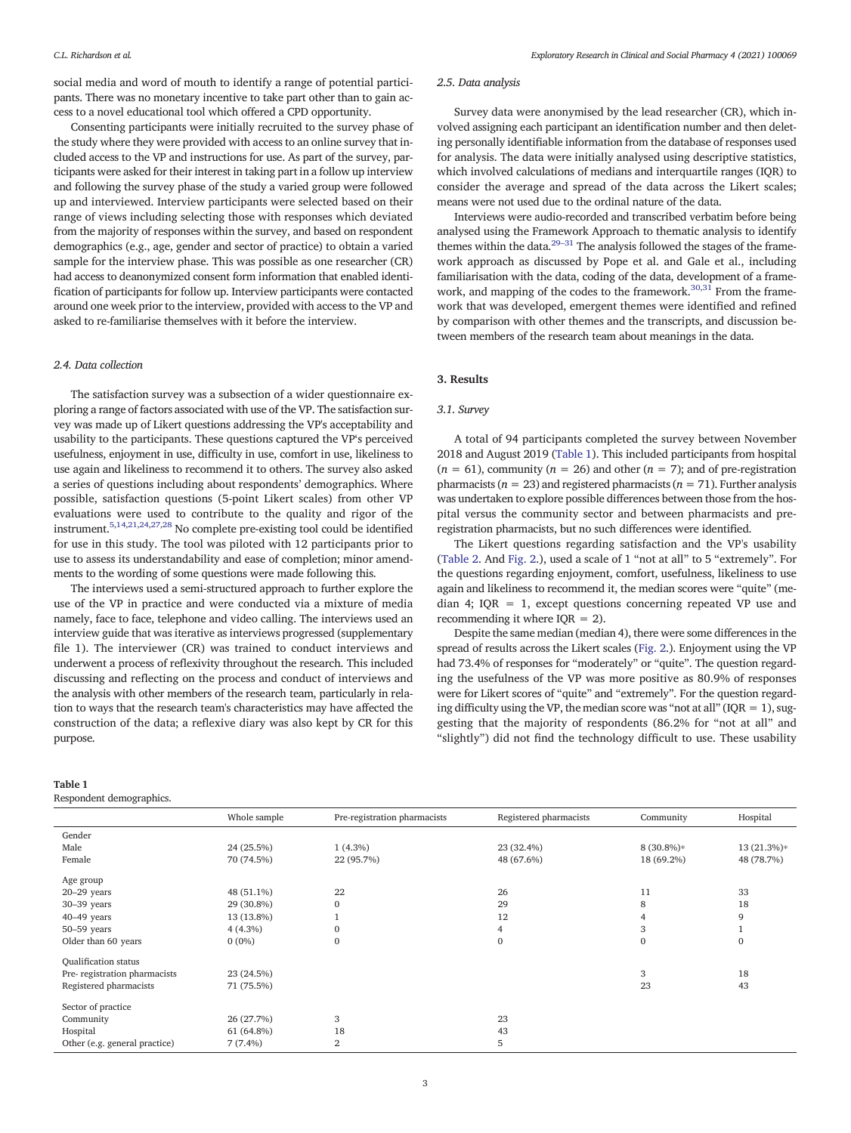social media and word of mouth to identify a range of potential participants. There was no monetary incentive to take part other than to gain access to a novel educational tool which offered a CPD opportunity.

Consenting participants were initially recruited to the survey phase of the study where they were provided with access to an online survey that included access to the VP and instructions for use. As part of the survey, participants were asked for their interest in taking part in a follow up interview and following the survey phase of the study a varied group were followed up and interviewed. Interview participants were selected based on their range of views including selecting those with responses which deviated from the majority of responses within the survey, and based on respondent demographics (e.g., age, gender and sector of practice) to obtain a varied sample for the interview phase. This was possible as one researcher (CR) had access to deanonymized consent form information that enabled identification of participants for follow up. Interview participants were contacted around one week prior to the interview, provided with access to the VP and asked to re-familiarise themselves with it before the interview.

#### 2.4. Data collection

The satisfaction survey was a subsection of a wider questionnaire exploring a range of factors associated with use of the VP. The satisfaction survey was made up of Likert questions addressing the VP's acceptability and usability to the participants. These questions captured the VP's perceived usefulness, enjoyment in use, difficulty in use, comfort in use, likeliness to use again and likeliness to recommend it to others. The survey also asked a series of questions including about respondents' demographics. Where possible, satisfaction questions (5-point Likert scales) from other VP evaluations were used to contribute to the quality and rigor of the instrument.[5,14,21](#page-5-0),[24](#page-5-0),[27](#page-5-0),[28](#page-5-0) No complete pre-existing tool could be identified for use in this study. The tool was piloted with 12 participants prior to use to assess its understandability and ease of completion; minor amendments to the wording of some questions were made following this.

The interviews used a semi-structured approach to further explore the use of the VP in practice and were conducted via a mixture of media namely, face to face, telephone and video calling. The interviews used an interview guide that was iterative as interviews progressed (supplementary file 1). The interviewer (CR) was trained to conduct interviews and underwent a process of reflexivity throughout the research. This included discussing and reflecting on the process and conduct of interviews and the analysis with other members of the research team, particularly in relation to ways that the research team's characteristics may have affected the construction of the data; a reflexive diary was also kept by CR for this purpose.

#### Table 1

Respondent demographics.

#### 2.5. Data analysis

Survey data were anonymised by the lead researcher (CR), which involved assigning each participant an identification number and then deleting personally identifiable information from the database of responses used for analysis. The data were initially analysed using descriptive statistics, which involved calculations of medians and interquartile ranges (IOR) to consider the average and spread of the data across the Likert scales; means were not used due to the ordinal nature of the data.

Interviews were audio-recorded and transcribed verbatim before being analysed using the Framework Approach to thematic analysis to identify themes within the data. $29-31$  The analysis followed the stages of the framework approach as discussed by Pope et al. and Gale et al., including familiarisation with the data, coding of the data, development of a framework, and mapping of the codes to the framework. $30,31$  $30,31$  $30,31$  From the framework that was developed, emergent themes were identified and refined by comparison with other themes and the transcripts, and discussion between members of the research team about meanings in the data.

#### 3. Results

#### 3.1. Survey

A total of 94 participants completed the survey between November 2018 and August 2019 (Table 1). This included participants from hospital  $(n = 61)$ , community  $(n = 26)$  and other  $(n = 7)$ ; and of pre-registration pharmacists ( $n = 23$ ) and registered pharmacists ( $n = 71$ ). Further analysis was undertaken to explore possible differences between those from the hospital versus the community sector and between pharmacists and preregistration pharmacists, but no such differences were identified.

The Likert questions regarding satisfaction and the VP's usability [\(Table 2.](#page-3-0) And [Fig. 2](#page-3-0).), used a scale of 1 "not at all" to 5 "extremely". For the questions regarding enjoyment, comfort, usefulness, likeliness to use again and likeliness to recommend it, the median scores were "quite" (median 4; IQR = 1, except questions concerning repeated VP use and recommending it where  $IQR = 2$ ).

Despite the same median (median 4), there were some differences in the spread of results across the Likert scales [\(Fig. 2](#page-3-0).). Enjoyment using the VP had 73.4% of responses for "moderately" or "quite". The question regarding the usefulness of the VP was more positive as 80.9% of responses were for Likert scores of "quite" and "extremely". For the question regarding difficulty using the VP, the median score was "not at all" ( $IQR = 1$ ), suggesting that the majority of respondents (86.2% for "not at all" and "slightly") did not find the technology difficult to use. These usability

|                               | Whole sample | Pre-registration pharmacists | Registered pharmacists | Community    | Hospital     |
|-------------------------------|--------------|------------------------------|------------------------|--------------|--------------|
| Gender                        |              |                              |                        |              |              |
| Male                          | 24 (25.5%)   | $1(4.3\%)$                   | 23 (32.4%)             | $8(30.8\%)*$ | 13 (21.3%)*  |
| Female                        | 70 (74.5%)   | 22 (95.7%)                   | 48 (67.6%)             | 18 (69.2%)   | 48 (78.7%)   |
| Age group                     |              |                              |                        |              |              |
| $20-29$ years                 | 48 (51.1%)   | 22                           | 26                     | 11           | 33           |
| $30-39$ years                 | 29 (30.8%)   | $\mathbf{0}$                 | 29                     | 8            | 18           |
| $40-49$ years                 | 13 (13.8%)   |                              | 12                     |              | 9            |
| $50 - 59$ years               | $4(4.3\%)$   | $\boldsymbol{0}$             | 4                      | 3            |              |
| Older than 60 years           | $0(0\%)$     | $\mathbf{0}$                 | $\Omega$               | $\Omega$     | $\mathbf{0}$ |
| <b>Qualification status</b>   |              |                              |                        |              |              |
| Pre-registration pharmacists  | 23 (24.5%)   |                              |                        | 3            | 18           |
| Registered pharmacists        | 71 (75.5%)   |                              |                        | 23           | 43           |
| Sector of practice            |              |                              |                        |              |              |
| Community                     | 26 (27.7%)   | 3                            | 23                     |              |              |
| Hospital                      | 61 (64.8%)   | 18                           | 43                     |              |              |
| Other (e.g. general practice) | $7(7.4\%)$   | 2                            | 5                      |              |              |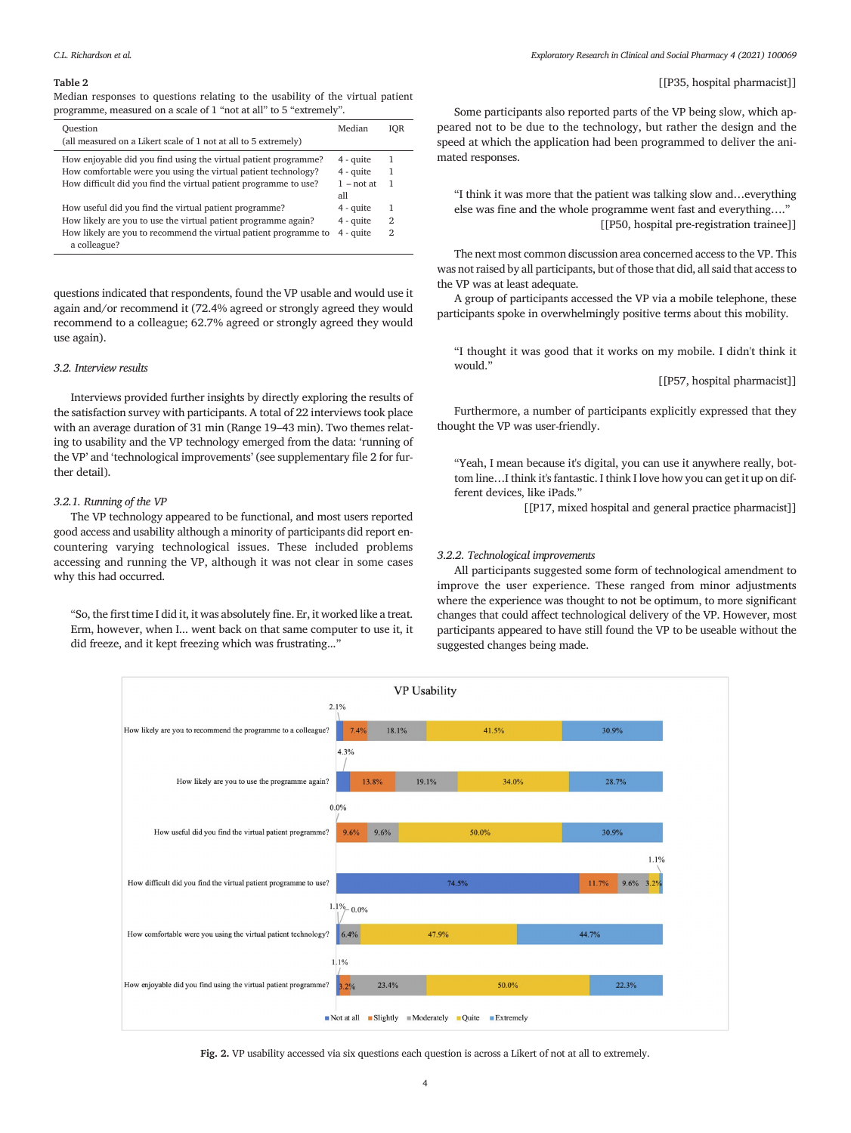#### <span id="page-3-0"></span>Table 2

Median responses to questions relating to the usability of the virtual patient programme, measured on a scale of 1 "not at all" to 5 "extremely".

| Ouestion<br>(all measured on a Likert scale of 1 not at all to 5 extremely)                                                       | Median                     | IOR     |
|-----------------------------------------------------------------------------------------------------------------------------------|----------------------------|---------|
| How enjoyable did you find using the virtual patient programme?<br>How comfortable were you using the virtual patient technology? | $4 - quite$<br>$4 - quite$ | -1<br>1 |
| How difficult did you find the virtual patient programme to use?                                                                  | $1 - not at$               | -1      |
|                                                                                                                                   | all                        |         |
| How useful did you find the virtual patient programme?                                                                            | $4 - quite$                | 1       |
| How likely are you to use the virtual patient programme again?                                                                    | $4 - quite$                | 2       |
| How likely are you to recommend the virtual patient programme to<br>a colleague?                                                  | $4 - quite$                | 2       |

questions indicated that respondents, found the VP usable and would use it again and/or recommend it (72.4% agreed or strongly agreed they would recommend to a colleague; 62.7% agreed or strongly agreed they would use again).

#### 3.2. Interview results

Interviews provided further insights by directly exploring the results of the satisfaction survey with participants. A total of 22 interviews took place with an average duration of 31 min (Range 19–43 min). Two themes relating to usability and the VP technology emerged from the data: 'running of the VP' and 'technological improvements' (see supplementary file 2 for further detail).

#### 3.2.1. Running of the VP

The VP technology appeared to be functional, and most users reported good access and usability although a minority of participants did report encountering varying technological issues. These included problems accessing and running the VP, although it was not clear in some cases why this had occurred.

"So, the first time I did it, it was absolutely fine. Er, it worked like a treat. Erm, however, when I... went back on that same computer to use it, it did freeze, and it kept freezing which was frustrating..."

#### [[P35, hospital pharmacist]]

Some participants also reported parts of the VP being slow, which appeared not to be due to the technology, but rather the design and the speed at which the application had been programmed to deliver the animated responses.

"I think it was more that the patient was talking slow and…everything else was fine and the whole programme went fast and everything…." [[P50, hospital pre-registration trainee]]

The next most common discussion area concerned access to the VP. This was not raised by all participants, but of those that did, all said that access to the VP was at least adequate.

A group of participants accessed the VP via a mobile telephone, these participants spoke in overwhelmingly positive terms about this mobility.

"I thought it was good that it works on my mobile. I didn't think it would."

[[P57, hospital pharmacist]]

Furthermore, a number of participants explicitly expressed that they thought the VP was user-friendly.

"Yeah, I mean because it's digital, you can use it anywhere really, bottom line…I think it's fantastic. I think I love how you can get it up on different devices, like iPads."

[[P17, mixed hospital and general practice pharmacist]]

#### 3.2.2. Technological improvements

All participants suggested some form of technological amendment to improve the user experience. These ranged from minor adjustments where the experience was thought to not be optimum, to more significant changes that could affect technological delivery of the VP. However, most participants appeared to have still found the VP to be useable without the suggested changes being made.



Fig. 2. VP usability accessed via six questions each question is across a Likert of not at all to extremely.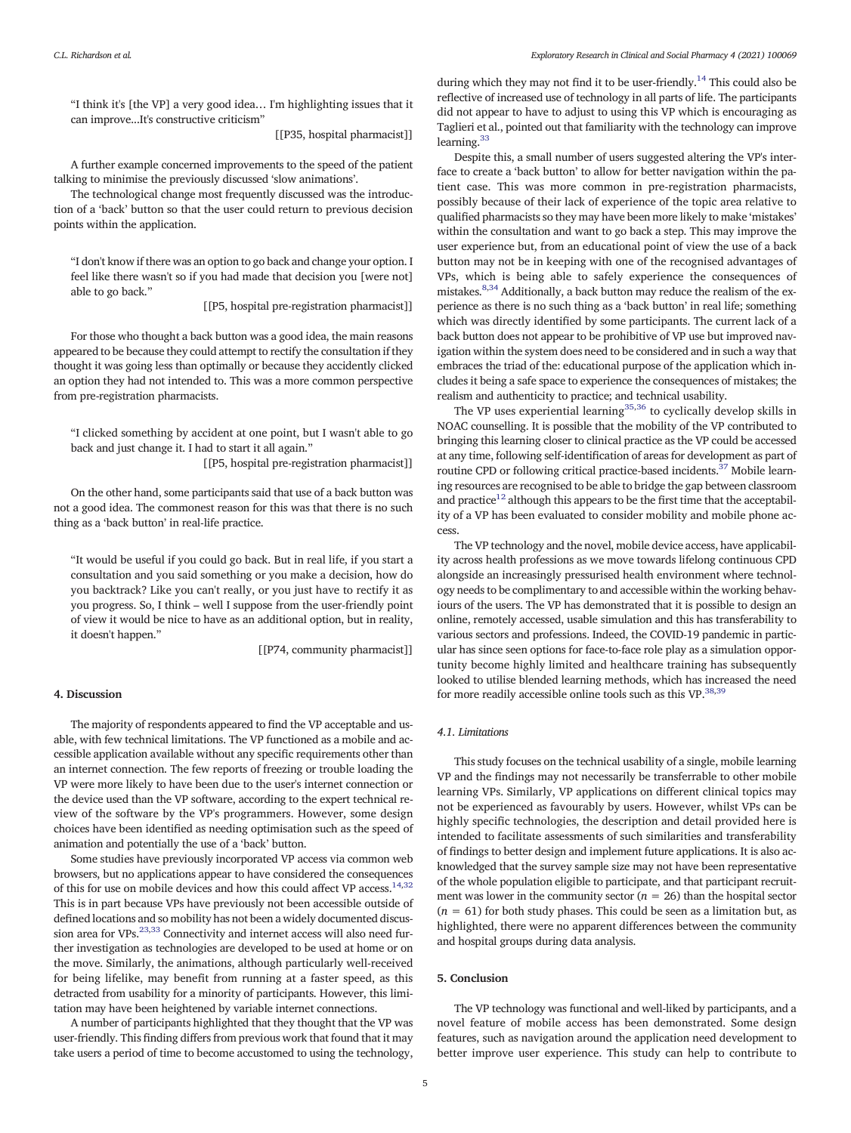"I think it's [the VP] a very good idea… I'm highlighting issues that it can improve...It's constructive criticism"

[[P35, hospital pharmacist]]

A further example concerned improvements to the speed of the patient talking to minimise the previously discussed 'slow animations'.

The technological change most frequently discussed was the introduction of a 'back' button so that the user could return to previous decision points within the application.

"I don't know if there was an option to go back and change your option. I feel like there wasn't so if you had made that decision you [were not] able to go back."

[[P5, hospital pre-registration pharmacist]]

For those who thought a back button was a good idea, the main reasons appeared to be because they could attempt to rectify the consultation if they thought it was going less than optimally or because they accidently clicked an option they had not intended to. This was a more common perspective from pre-registration pharmacists.

"I clicked something by accident at one point, but I wasn't able to go back and just change it. I had to start it all again."

[[P5, hospital pre-registration pharmacist]]

On the other hand, some participants said that use of a back button was not a good idea. The commonest reason for this was that there is no such thing as a 'back button' in real-life practice.

"It would be useful if you could go back. But in real life, if you start a consultation and you said something or you make a decision, how do you backtrack? Like you can't really, or you just have to rectify it as you progress. So, I think – well I suppose from the user-friendly point of view it would be nice to have as an additional option, but in reality, it doesn't happen."

[[P74, community pharmacist]]

#### 4. Discussion

The majority of respondents appeared to find the VP acceptable and usable, with few technical limitations. The VP functioned as a mobile and accessible application available without any specific requirements other than an internet connection. The few reports of freezing or trouble loading the VP were more likely to have been due to the user's internet connection or the device used than the VP software, according to the expert technical review of the software by the VP's programmers. However, some design choices have been identified as needing optimisation such as the speed of animation and potentially the use of a 'back' button.

Some studies have previously incorporated VP access via common web browsers, but no applications appear to have considered the consequences of this for use on mobile devices and how this could affect VP access.<sup>14,32</sup> This is in part because VPs have previously not been accessible outside of defined locations and so mobility has not been a widely documented discussion area for VPs. $^{23,33}$  $^{23,33}$  $^{23,33}$  Connectivity and internet access will also need further investigation as technologies are developed to be used at home or on the move. Similarly, the animations, although particularly well-received for being lifelike, may benefit from running at a faster speed, as this detracted from usability for a minority of participants. However, this limitation may have been heightened by variable internet connections.

A number of participants highlighted that they thought that the VP was user-friendly. This finding differs from previous work that found that it may take users a period of time to become accustomed to using the technology,

during which they may not find it to be user-friendly.<sup>14</sup> This could also be reflective of increased use of technology in all parts of life. The participants did not appear to have to adjust to using this VP which is encouraging as Taglieri et al., pointed out that familiarity with the technology can improve learning.<sup>33</sup>

Despite this, a small number of users suggested altering the VP's interface to create a 'back button' to allow for better navigation within the patient case. This was more common in pre-registration pharmacists, possibly because of their lack of experience of the topic area relative to qualified pharmacists so they may have been more likely to make 'mistakes' within the consultation and want to go back a step. This may improve the user experience but, from an educational point of view the use of a back button may not be in keeping with one of the recognised advantages of VPs, which is being able to safely experience the consequences of mistakes[.8,34](#page-5-0) Additionally, a back button may reduce the realism of the experience as there is no such thing as a 'back button' in real life; something which was directly identified by some participants. The current lack of a back button does not appear to be prohibitive of VP use but improved navigation within the system does need to be considered and in such a way that embraces the triad of the: educational purpose of the application which includes it being a safe space to experience the consequences of mistakes; the realism and authenticity to practice; and technical usability.

The VP uses experiential learning<sup>[35](#page-5-0),[36](#page-5-0)</sup> to cyclically develop skills in NOAC counselling. It is possible that the mobility of the VP contributed to bringing this learning closer to clinical practice as the VP could be accessed at any time, following self-identification of areas for development as part of routine CPD or following critical practice-based incidents.<sup>37</sup> Mobile learning resources are recognised to be able to bridge the gap between classroom and practice<sup>12</sup> although this appears to be the first time that the acceptability of a VP has been evaluated to consider mobility and mobile phone access.

The VP technology and the novel, mobile device access, have applicability across health professions as we move towards lifelong continuous CPD alongside an increasingly pressurised health environment where technology needs to be complimentary to and accessible within the working behaviours of the users. The VP has demonstrated that it is possible to design an online, remotely accessed, usable simulation and this has transferability to various sectors and professions. Indeed, the COVID-19 pandemic in particular has since seen options for face-to-face role play as a simulation opportunity become highly limited and healthcare training has subsequently looked to utilise blended learning methods, which has increased the need for more readily accessible online tools such as this VP.<sup>38,39</sup>

#### 4.1. Limitations

This study focuses on the technical usability of a single, mobile learning VP and the findings may not necessarily be transferrable to other mobile learning VPs. Similarly, VP applications on different clinical topics may not be experienced as favourably by users. However, whilst VPs can be highly specific technologies, the description and detail provided here is intended to facilitate assessments of such similarities and transferability of findings to better design and implement future applications. It is also acknowledged that the survey sample size may not have been representative of the whole population eligible to participate, and that participant recruitment was lower in the community sector ( $n = 26$ ) than the hospital sector  $(n = 61)$  for both study phases. This could be seen as a limitation but, as highlighted, there were no apparent differences between the community and hospital groups during data analysis.

#### 5. Conclusion

The VP technology was functional and well-liked by participants, and a novel feature of mobile access has been demonstrated. Some design features, such as navigation around the application need development to better improve user experience. This study can help to contribute to